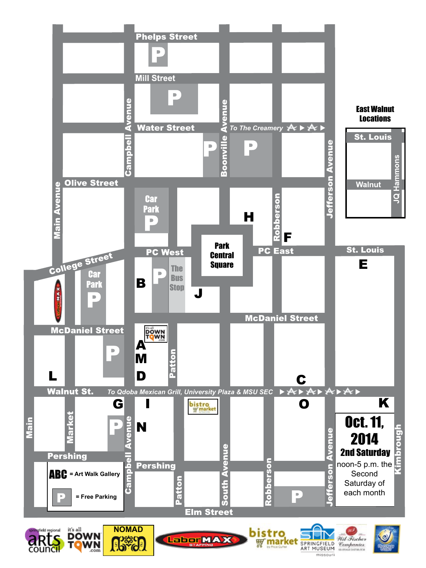